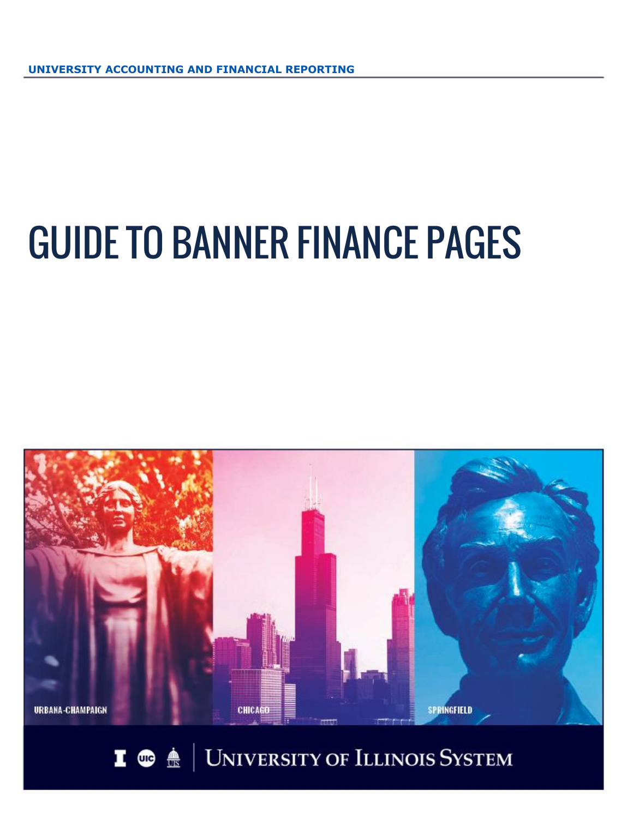# GUIDE TO BANNER FINANCE PAGES



I  $\bullet$   $\bullet$   $\bullet$  | University of Illinois System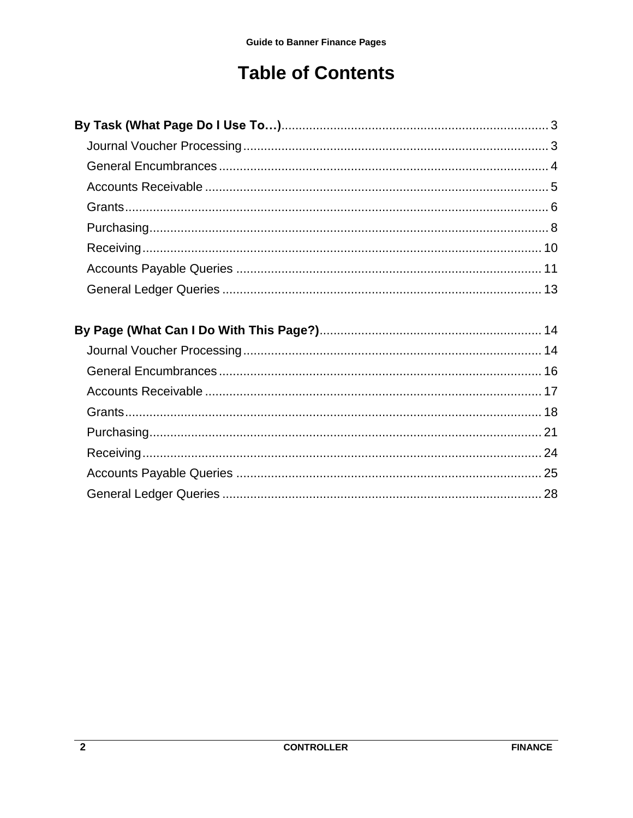# **Table of Contents**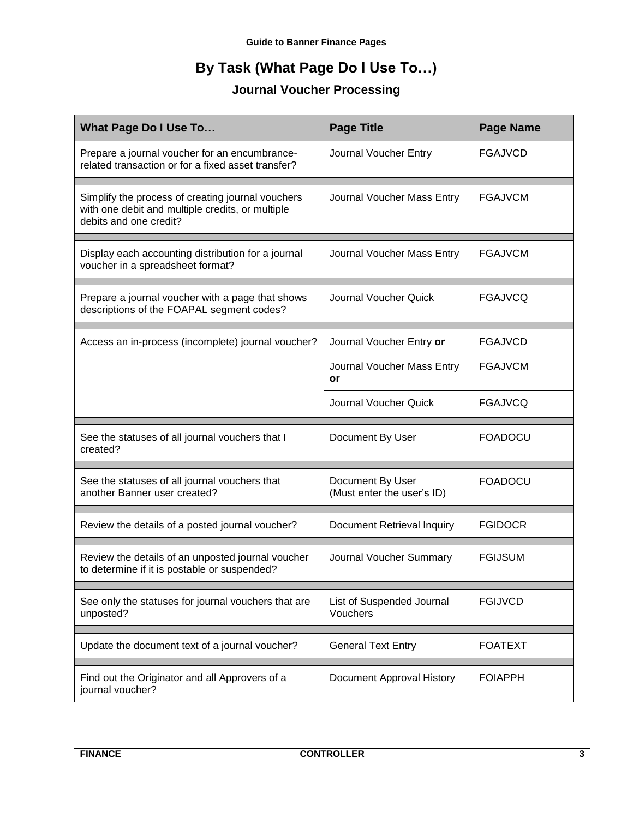# **By Task (What Page Do I Use To…)**

## **Journal Voucher Processing**

<span id="page-2-1"></span><span id="page-2-0"></span>

| <b>What Page Do I Use To</b>                                                                                                    | <b>Page Title</b>                              | <b>Page Name</b> |
|---------------------------------------------------------------------------------------------------------------------------------|------------------------------------------------|------------------|
| Prepare a journal voucher for an encumbrance-<br>related transaction or for a fixed asset transfer?                             | Journal Voucher Entry                          | <b>FGAJVCD</b>   |
| Simplify the process of creating journal vouchers<br>with one debit and multiple credits, or multiple<br>debits and one credit? | Journal Voucher Mass Entry                     | <b>FGAJVCM</b>   |
| Display each accounting distribution for a journal<br>voucher in a spreadsheet format?                                          | Journal Voucher Mass Entry                     | <b>FGAJVCM</b>   |
| Prepare a journal voucher with a page that shows<br>descriptions of the FOAPAL segment codes?                                   | <b>Journal Voucher Quick</b>                   | <b>FGAJVCQ</b>   |
| Access an in-process (incomplete) journal voucher?                                                                              | Journal Voucher Entry or                       | <b>FGAJVCD</b>   |
|                                                                                                                                 | Journal Voucher Mass Entry<br>or               | <b>FGAJVCM</b>   |
|                                                                                                                                 | <b>Journal Voucher Quick</b>                   | <b>FGAJVCQ</b>   |
| See the statuses of all journal vouchers that I<br>created?                                                                     | Document By User                               | <b>FOADOCU</b>   |
| See the statuses of all journal vouchers that<br>another Banner user created?                                                   | Document By User<br>(Must enter the user's ID) | <b>FOADOCU</b>   |
| Review the details of a posted journal voucher?                                                                                 | Document Retrieval Inquiry                     | <b>FGIDOCR</b>   |
| Review the details of an unposted journal voucher<br>to determine if it is postable or suspended?                               | Journal Voucher Summary                        | <b>FGIJSUM</b>   |
| See only the statuses for journal vouchers that are<br>unposted?                                                                | List of Suspended Journal<br>Vouchers          | <b>FGIJVCD</b>   |
| Update the document text of a journal voucher?                                                                                  | <b>General Text Entry</b>                      | <b>FOATEXT</b>   |
| Find out the Originator and all Approvers of a<br>journal voucher?                                                              | <b>Document Approval History</b>               | <b>FOIAPPH</b>   |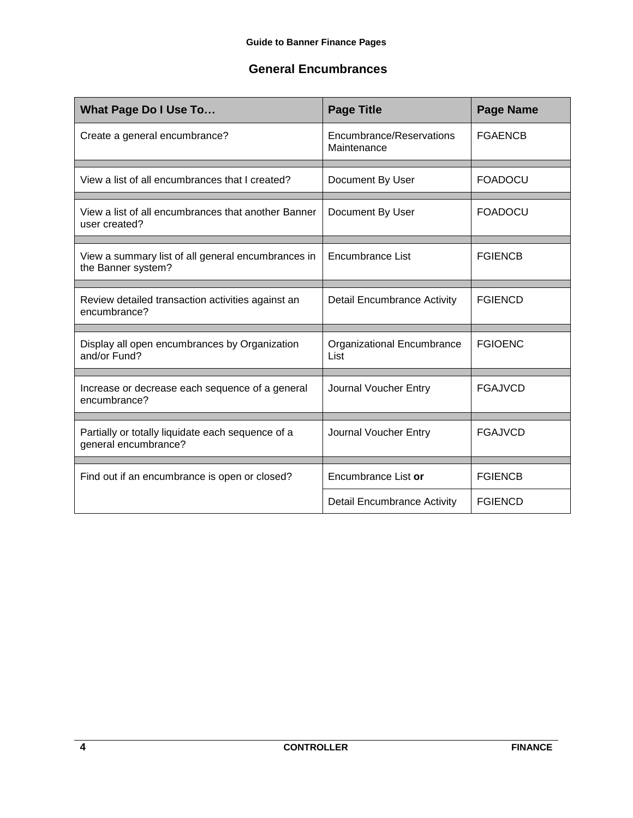#### <span id="page-3-0"></span>**General Encumbrances**

| <b>What Page Do I Use To</b>                                              | <b>Page Title</b>                       | <b>Page Name</b> |
|---------------------------------------------------------------------------|-----------------------------------------|------------------|
| Create a general encumbrance?                                             | Encumbrance/Reservations<br>Maintenance | <b>FGAENCB</b>   |
| View a list of all encumbrances that I created?                           | Document By User                        | <b>FOADOCU</b>   |
| View a list of all encumbrances that another Banner<br>user created?      | Document By User                        | <b>FOADOCU</b>   |
| View a summary list of all general encumbrances in<br>the Banner system?  | Encumbrance List                        | <b>FGIENCB</b>   |
| Review detailed transaction activities against an<br>encumbrance?         | <b>Detail Encumbrance Activity</b>      | <b>FGIENCD</b>   |
| Display all open encumbrances by Organization<br>and/or Fund?             | Organizational Encumbrance<br>List      | <b>FGIOENC</b>   |
| Increase or decrease each sequence of a general<br>encumbrance?           | Journal Voucher Entry                   | <b>FGAJVCD</b>   |
| Partially or totally liquidate each sequence of a<br>general encumbrance? | Journal Voucher Entry                   | <b>FGAJVCD</b>   |
| Find out if an encumbrance is open or closed?                             | Encumbrance List or                     | <b>FGIENCB</b>   |
|                                                                           | <b>Detail Encumbrance Activity</b>      | <b>FGIENCD</b>   |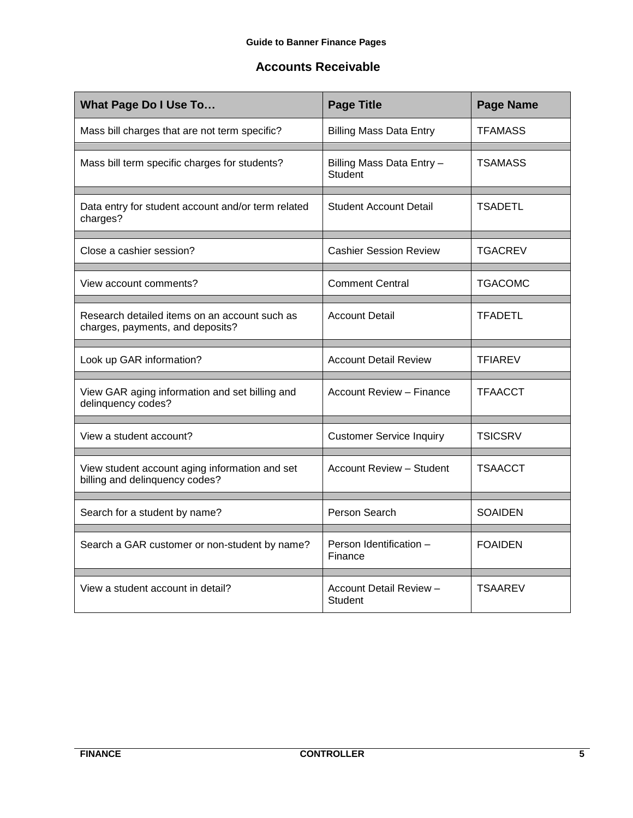## <span id="page-4-0"></span>**Accounts Receivable**

| <b>What Page Do I Use To</b>                                                      | <b>Page Title</b>                           | <b>Page Name</b> |
|-----------------------------------------------------------------------------------|---------------------------------------------|------------------|
| Mass bill charges that are not term specific?                                     | <b>Billing Mass Data Entry</b>              | <b>TFAMASS</b>   |
| Mass bill term specific charges for students?                                     | Billing Mass Data Entry -<br><b>Student</b> | <b>TSAMASS</b>   |
| Data entry for student account and/or term related<br>charges?                    | <b>Student Account Detail</b>               | <b>TSADETL</b>   |
| Close a cashier session?                                                          | <b>Cashier Session Review</b>               | <b>TGACREV</b>   |
| View account comments?                                                            | <b>Comment Central</b>                      | <b>TGACOMC</b>   |
| Research detailed items on an account such as<br>charges, payments, and deposits? | <b>Account Detail</b>                       | <b>TFADETL</b>   |
| Look up GAR information?                                                          | <b>Account Detail Review</b>                | <b>TFIAREV</b>   |
| View GAR aging information and set billing and<br>delinquency codes?              | <b>Account Review - Finance</b>             | <b>TFAACCT</b>   |
| View a student account?                                                           | <b>Customer Service Inquiry</b>             | <b>TSICSRV</b>   |
| View student account aging information and set<br>billing and delinquency codes?  | Account Review - Student                    | <b>TSAACCT</b>   |
| Search for a student by name?                                                     | Person Search                               | <b>SOAIDEN</b>   |
| Search a GAR customer or non-student by name?                                     | Person Identification -<br>Finance          | <b>FOAIDEN</b>   |
| View a student account in detail?                                                 | Account Detail Review -<br><b>Student</b>   | <b>TSAAREV</b>   |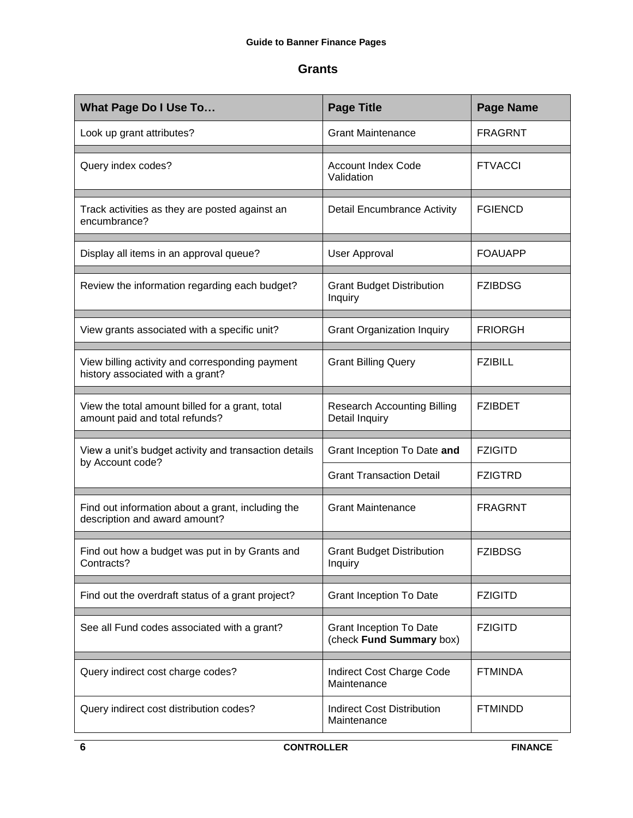#### <span id="page-5-0"></span>**Grants**

| <b>What Page Do I Use To</b>                                                        | <b>Page Title</b>                                          | <b>Page Name</b> |
|-------------------------------------------------------------------------------------|------------------------------------------------------------|------------------|
| Look up grant attributes?                                                           | <b>Grant Maintenance</b>                                   | <b>FRAGRNT</b>   |
| Query index codes?                                                                  | <b>Account Index Code</b><br>Validation                    | <b>FTVACCI</b>   |
| Track activities as they are posted against an<br>encumbrance?                      | <b>Detail Encumbrance Activity</b>                         | <b>FGIENCD</b>   |
| Display all items in an approval queue?                                             | User Approval                                              | <b>FOAUAPP</b>   |
| Review the information regarding each budget?                                       | <b>Grant Budget Distribution</b><br>Inquiry                | <b>FZIBDSG</b>   |
| View grants associated with a specific unit?                                        | <b>Grant Organization Inquiry</b>                          | <b>FRIORGH</b>   |
| View billing activity and corresponding payment<br>history associated with a grant? | <b>Grant Billing Query</b>                                 | <b>FZIBILL</b>   |
| View the total amount billed for a grant, total<br>amount paid and total refunds?   | <b>Research Accounting Billing</b><br>Detail Inquiry       | <b>FZIBDET</b>   |
| View a unit's budget activity and transaction details<br>by Account code?           | Grant Inception To Date and                                | <b>FZIGITD</b>   |
|                                                                                     | <b>Grant Transaction Detail</b>                            | <b>FZIGTRD</b>   |
| Find out information about a grant, including the<br>description and award amount?  | <b>Grant Maintenance</b>                                   | <b>FRAGRNT</b>   |
| Find out how a budget was put in by Grants and<br>Contracts?                        | <b>Grant Budget Distribution</b><br>Inquiry                | <b>FZIBDSG</b>   |
| Find out the overdraft status of a grant project?                                   | <b>Grant Inception To Date</b>                             | <b>FZIGITD</b>   |
| See all Fund codes associated with a grant?                                         | <b>Grant Inception To Date</b><br>(check Fund Summary box) | <b>FZIGITD</b>   |
| Query indirect cost charge codes?                                                   | Indirect Cost Charge Code<br>Maintenance                   | <b>FTMINDA</b>   |
| Query indirect cost distribution codes?                                             | <b>Indirect Cost Distribution</b><br>Maintenance           | <b>FTMINDD</b>   |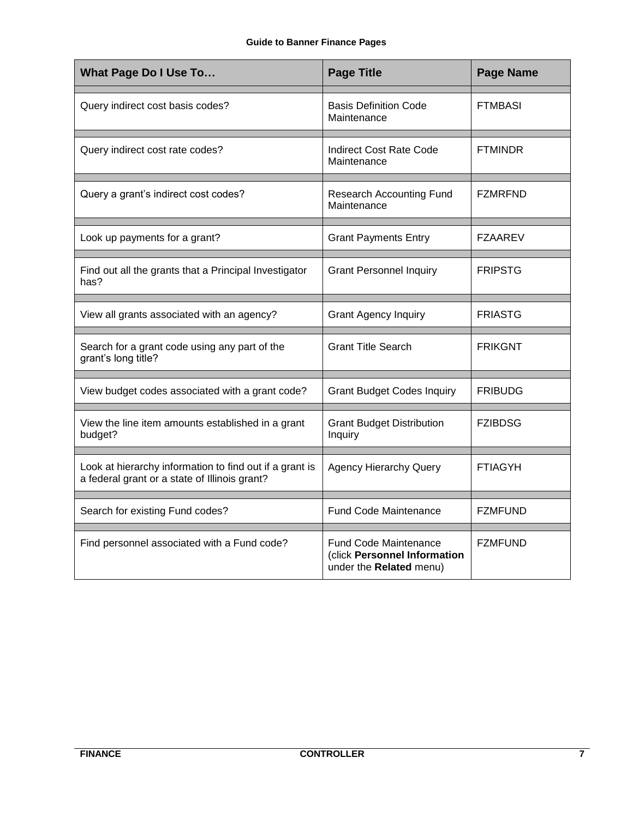| <b>What Page Do I Use To</b>                                                                             | <b>Page Title</b>                                                                       | <b>Page Name</b> |
|----------------------------------------------------------------------------------------------------------|-----------------------------------------------------------------------------------------|------------------|
| Query indirect cost basis codes?                                                                         | <b>Basis Definition Code</b><br>Maintenance                                             | <b>FTMBASI</b>   |
| Query indirect cost rate codes?                                                                          | <b>Indirect Cost Rate Code</b><br>Maintenance                                           | <b>FTMINDR</b>   |
| Query a grant's indirect cost codes?                                                                     | <b>Research Accounting Fund</b><br>Maintenance                                          | <b>FZMRFND</b>   |
| Look up payments for a grant?                                                                            | <b>Grant Payments Entry</b>                                                             | <b>FZAAREV</b>   |
| Find out all the grants that a Principal Investigator<br>has?                                            | <b>Grant Personnel Inquiry</b>                                                          | <b>FRIPSTG</b>   |
| View all grants associated with an agency?                                                               | <b>Grant Agency Inquiry</b>                                                             | <b>FRIASTG</b>   |
| Search for a grant code using any part of the<br>grant's long title?                                     | <b>Grant Title Search</b>                                                               | <b>FRIKGNT</b>   |
| View budget codes associated with a grant code?                                                          | <b>Grant Budget Codes Inquiry</b>                                                       | <b>FRIBUDG</b>   |
| View the line item amounts established in a grant<br>budget?                                             | <b>Grant Budget Distribution</b><br>Inquiry                                             | <b>FZIBDSG</b>   |
| Look at hierarchy information to find out if a grant is<br>a federal grant or a state of Illinois grant? | <b>Agency Hierarchy Query</b>                                                           | <b>FTIAGYH</b>   |
| Search for existing Fund codes?                                                                          | <b>Fund Code Maintenance</b>                                                            | <b>FZMFUND</b>   |
| Find personnel associated with a Fund code?                                                              | <b>Fund Code Maintenance</b><br>(click Personnel Information<br>under the Related menu) | <b>FZMFUND</b>   |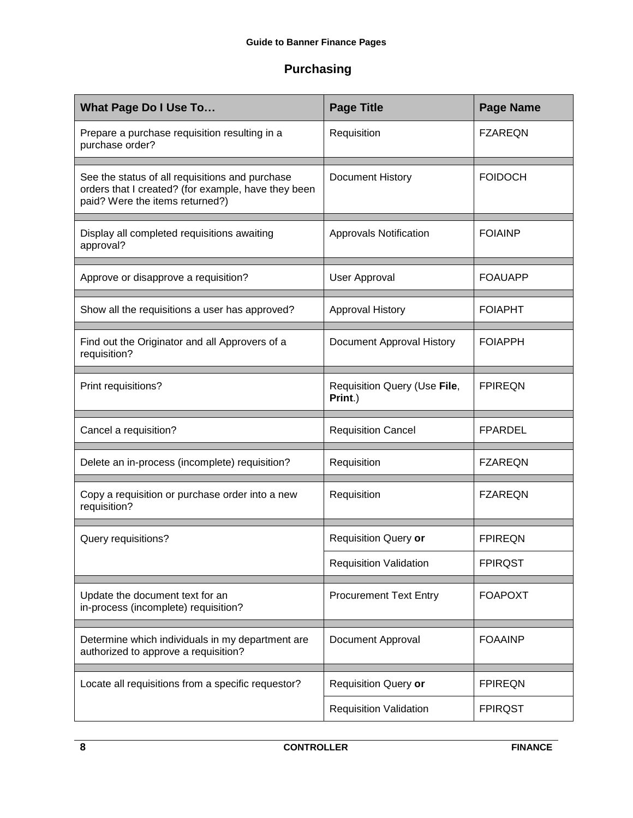## <span id="page-7-0"></span>**Purchasing**

| What Page Do I Use To                                                                                                                     | <b>Page Title</b>                       | <b>Page Name</b> |
|-------------------------------------------------------------------------------------------------------------------------------------------|-----------------------------------------|------------------|
| Prepare a purchase requisition resulting in a<br>purchase order?                                                                          | Requisition                             | <b>FZAREQN</b>   |
| See the status of all requisitions and purchase<br>orders that I created? (for example, have they been<br>paid? Were the items returned?) | Document History                        | <b>FOIDOCH</b>   |
| Display all completed requisitions awaiting<br>approval?                                                                                  | <b>Approvals Notification</b>           | <b>FOIAINP</b>   |
| Approve or disapprove a requisition?                                                                                                      | <b>User Approval</b>                    | <b>FOAUAPP</b>   |
| Show all the requisitions a user has approved?                                                                                            | Approval History                        | <b>FOIAPHT</b>   |
| Find out the Originator and all Approvers of a<br>requisition?                                                                            | Document Approval History               | <b>FOIAPPH</b>   |
| Print requisitions?                                                                                                                       | Requisition Query (Use File,<br>Print.) | <b>FPIREQN</b>   |
|                                                                                                                                           |                                         |                  |
| Cancel a requisition?                                                                                                                     | <b>Requisition Cancel</b>               | <b>FPARDEL</b>   |
| Delete an in-process (incomplete) requisition?                                                                                            | Requisition                             | <b>FZAREQN</b>   |
| Copy a requisition or purchase order into a new<br>requisition?                                                                           | Requisition                             | <b>FZAREQN</b>   |
| Query requisitions?                                                                                                                       | Requisition Query or                    | <b>FPIREQN</b>   |
|                                                                                                                                           | <b>Requisition Validation</b>           | <b>FPIRQST</b>   |
| Update the document text for an<br>in-process (incomplete) requisition?                                                                   | <b>Procurement Text Entry</b>           | <b>FOAPOXT</b>   |
| Determine which individuals in my department are<br>authorized to approve a requisition?                                                  | Document Approval                       | <b>FOAAINP</b>   |
| Locate all requisitions from a specific requestor?                                                                                        | Requisition Query or                    | <b>FPIREQN</b>   |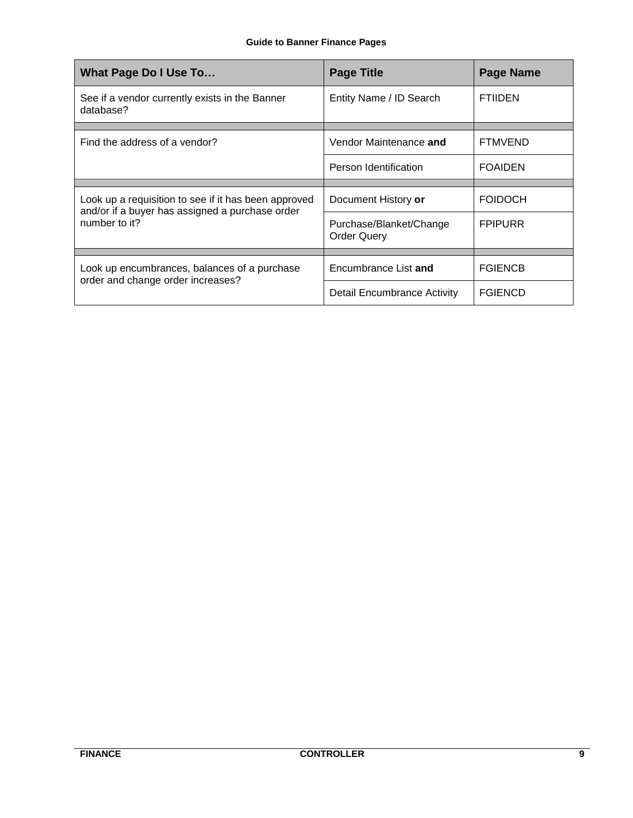| What Page Do I Use To                                                                                                    | <b>Page Title</b>                             | <b>Page Name</b> |
|--------------------------------------------------------------------------------------------------------------------------|-----------------------------------------------|------------------|
| See if a vendor currently exists in the Banner<br>database?                                                              | Entity Name / ID Search                       | <b>FTIIDEN</b>   |
| Find the address of a vendor?                                                                                            | Vendor Maintenance and                        | <b>FTMVEND</b>   |
|                                                                                                                          | Person Identification                         | <b>FOAIDEN</b>   |
|                                                                                                                          |                                               |                  |
| Look up a requisition to see if it has been approved<br>and/or if a buyer has assigned a purchase order<br>number to it? | Document History or                           | <b>FOIDOCH</b>   |
|                                                                                                                          | Purchase/Blanket/Change<br><b>Order Query</b> | <b>FPIPURR</b>   |
|                                                                                                                          |                                               |                  |
| Look up encumbrances, balances of a purchase                                                                             | Encumbrance List and                          | <b>FGIENCB</b>   |
| order and change order increases?                                                                                        | Detail Encumbrance Activity                   | <b>FGIENCD</b>   |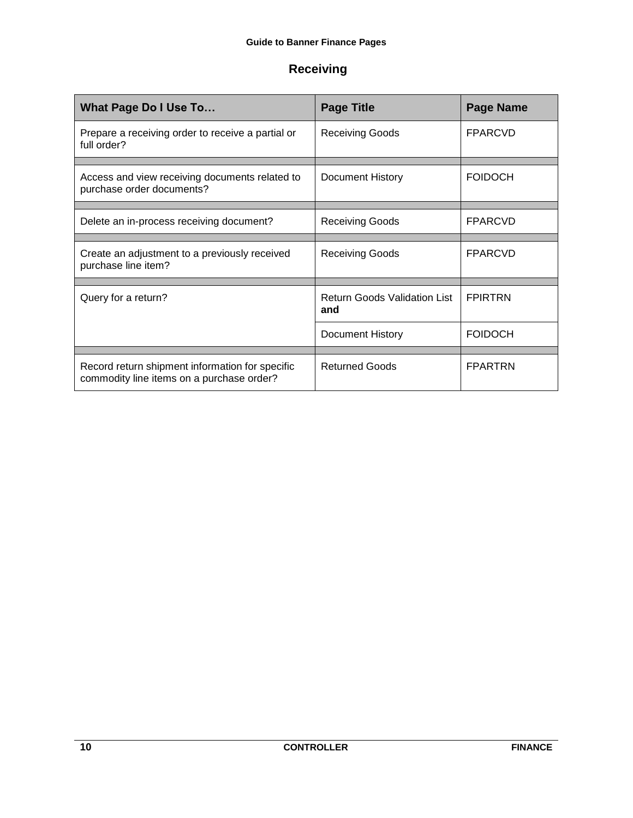## <span id="page-9-0"></span>**Receiving**

| What Page Do I Use To                                                                        | <b>Page Title</b>                          | <b>Page Name</b> |
|----------------------------------------------------------------------------------------------|--------------------------------------------|------------------|
| Prepare a receiving order to receive a partial or<br>full order?                             | <b>Receiving Goods</b>                     | <b>FPARCVD</b>   |
| Access and view receiving documents related to<br>purchase order documents?                  | <b>Document History</b>                    | <b>FOIDOCH</b>   |
| Delete an in-process receiving document?                                                     | <b>Receiving Goods</b>                     | <b>FPARCVD</b>   |
| Create an adjustment to a previously received<br>purchase line item?                         | <b>Receiving Goods</b>                     | <b>FPARCVD</b>   |
| Query for a return?                                                                          | <b>Return Goods Validation List</b><br>and | <b>FPIRTRN</b>   |
|                                                                                              | <b>Document History</b>                    | <b>FOIDOCH</b>   |
|                                                                                              |                                            |                  |
| Record return shipment information for specific<br>commodity line items on a purchase order? | <b>Returned Goods</b>                      | <b>FPARTRN</b>   |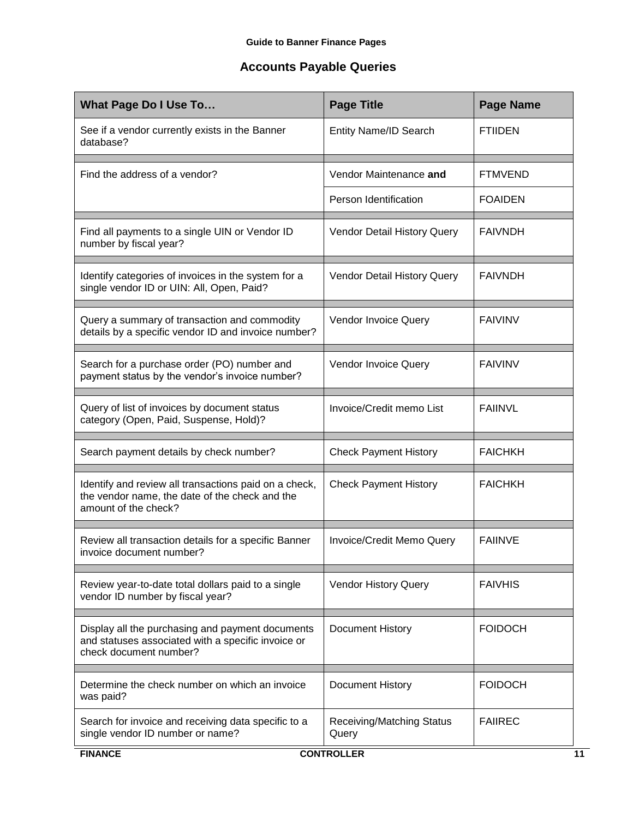## <span id="page-10-0"></span>**Accounts Payable Queries**

| <b>Page Title</b>                  | <b>Page Name</b>  |
|------------------------------------|-------------------|
| Entity Name/ID Search              | <b>FTIIDEN</b>    |
| Vendor Maintenance and             | <b>FTMVEND</b>    |
| Person Identification              | <b>FOAIDEN</b>    |
| Vendor Detail History Query        | <b>FAIVNDH</b>    |
| Vendor Detail History Query        | <b>FAIVNDH</b>    |
| Vendor Invoice Query               | <b>FAIVINV</b>    |
| Vendor Invoice Query               | <b>FAIVINV</b>    |
| Invoice/Credit memo List           | <b>FAIINVL</b>    |
| <b>Check Payment History</b>       | <b>FAICHKH</b>    |
| <b>Check Payment History</b>       | <b>FAICHKH</b>    |
| Invoice/Credit Memo Query          | <b>FAIINVE</b>    |
| Vendor History Query               | <b>FAIVHIS</b>    |
| Document History                   | <b>FOIDOCH</b>    |
| Document History                   | <b>FOIDOCH</b>    |
| Receiving/Matching Status<br>Query | <b>FAIIREC</b>    |
|                                    | <b>CONTROLLER</b> |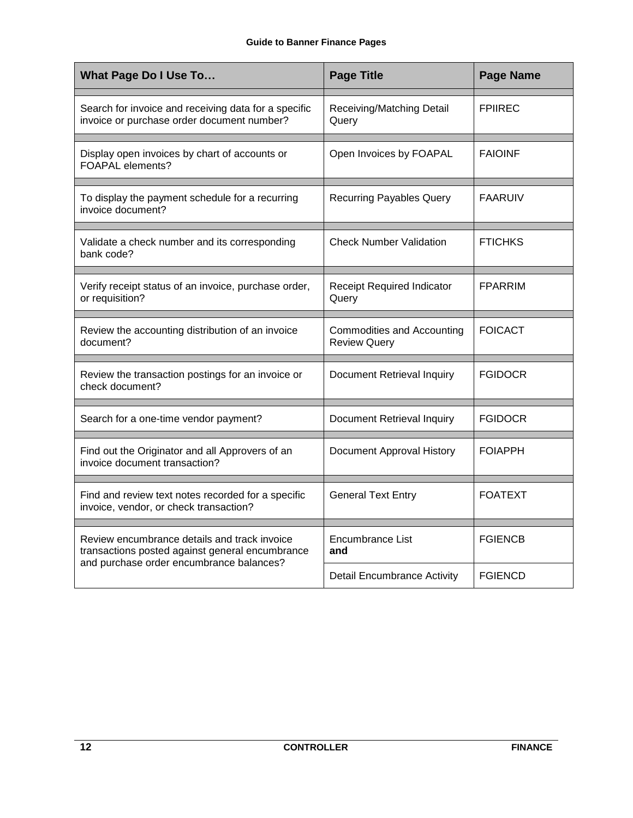| <b>What Page Do I Use To</b>                                                                       | <b>Page Title</b>                                        | <b>Page Name</b> |
|----------------------------------------------------------------------------------------------------|----------------------------------------------------------|------------------|
| Search for invoice and receiving data for a specific<br>invoice or purchase order document number? | Receiving/Matching Detail<br>Query                       | <b>FPIIREC</b>   |
| Display open invoices by chart of accounts or<br>FOAPAL elements?                                  | Open Invoices by FOAPAL                                  | <b>FAIOINF</b>   |
| To display the payment schedule for a recurring<br>invoice document?                               | <b>Recurring Payables Query</b>                          | <b>FAARUIV</b>   |
| Validate a check number and its corresponding<br>bank code?                                        | <b>Check Number Validation</b>                           | <b>FTICHKS</b>   |
| Verify receipt status of an invoice, purchase order,<br>or requisition?                            | <b>Receipt Required Indicator</b><br>Query               | <b>FPARRIM</b>   |
| Review the accounting distribution of an invoice<br>document?                                      | <b>Commodities and Accounting</b><br><b>Review Query</b> | <b>FOICACT</b>   |
| Review the transaction postings for an invoice or<br>check document?                               | <b>Document Retrieval Inquiry</b>                        | <b>FGIDOCR</b>   |
| Search for a one-time vendor payment?                                                              | Document Retrieval Inquiry                               | <b>FGIDOCR</b>   |
| Find out the Originator and all Approvers of an<br>invoice document transaction?                   | Document Approval History                                | <b>FOIAPPH</b>   |
| Find and review text notes recorded for a specific<br>invoice, vendor, or check transaction?       | <b>General Text Entry</b>                                | <b>FOATEXT</b>   |
| Review encumbrance details and track invoice<br>transactions posted against general encumbrance    | Encumbrance List<br>and                                  | <b>FGIENCB</b>   |
| and purchase order encumbrance balances?                                                           | <b>Detail Encumbrance Activity</b>                       | <b>FGIENCD</b>   |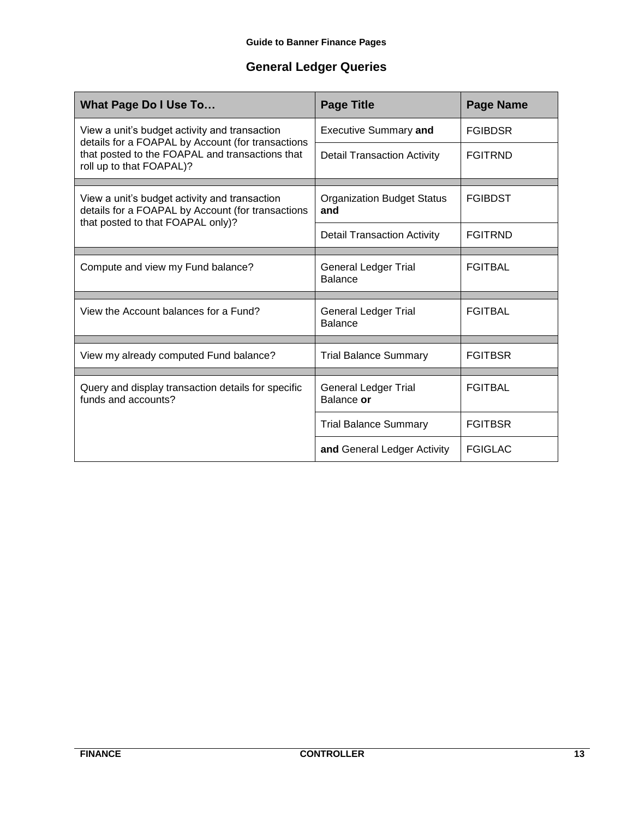## **General Ledger Queries**

<span id="page-12-0"></span>

| <b>What Page Do I Use To</b>                                                                       | <b>Page Title</b>                             | <b>Page Name</b> |
|----------------------------------------------------------------------------------------------------|-----------------------------------------------|------------------|
| View a unit's budget activity and transaction<br>details for a FOAPAL by Account (for transactions | <b>Executive Summary and</b>                  | <b>FGIBDSR</b>   |
| that posted to the FOAPAL and transactions that<br>roll up to that FOAPAL)?                        | <b>Detail Transaction Activity</b>            | <b>FGITRND</b>   |
| View a unit's budget activity and transaction                                                      | <b>Organization Budget Status</b>             | <b>FGIBDST</b>   |
| details for a FOAPAL by Account (for transactions<br>that posted to that FOAPAL only)?             | and                                           |                  |
|                                                                                                    | <b>Detail Transaction Activity</b>            | <b>FGITRND</b>   |
|                                                                                                    |                                               |                  |
| Compute and view my Fund balance?                                                                  | <b>General Ledger Trial</b><br><b>Balance</b> | <b>FGITBAL</b>   |
|                                                                                                    |                                               |                  |
| View the Account balances for a Fund?                                                              | General Ledger Trial<br><b>Balance</b>        | <b>FGITBAL</b>   |
|                                                                                                    |                                               |                  |
| View my already computed Fund balance?                                                             | <b>Trial Balance Summary</b>                  | <b>FGITBSR</b>   |
| Query and display transaction details for specific<br>funds and accounts?                          | <b>General Ledger Trial</b><br>Balance or     | <b>FGITBAL</b>   |
|                                                                                                    | <b>Trial Balance Summary</b>                  | <b>FGITBSR</b>   |
|                                                                                                    | and General Ledger Activity                   | <b>FGIGLAC</b>   |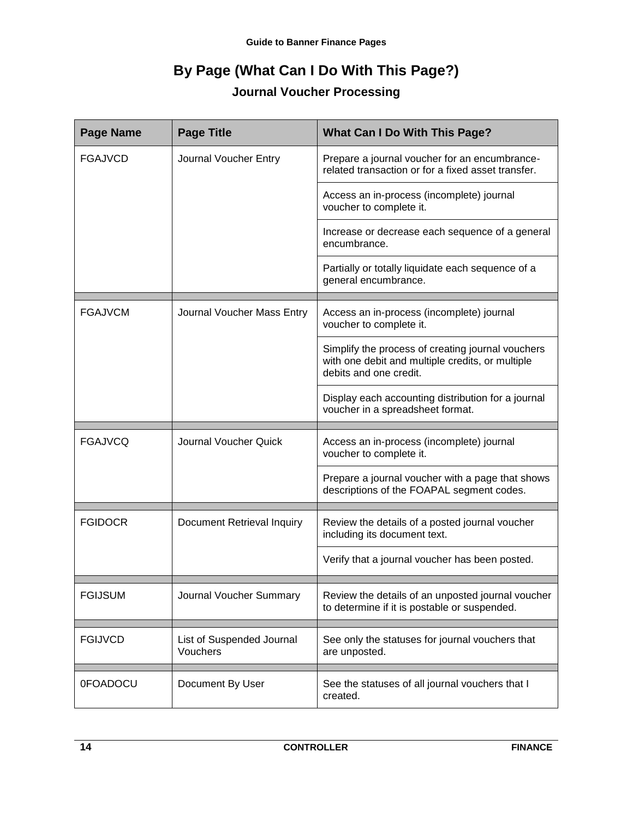# **By Page (What Can I Do With This Page?)**

## **Journal Voucher Processing**

<span id="page-13-1"></span><span id="page-13-0"></span>

| <b>Page Name</b> | <b>Page Title</b>                     | <b>What Can I Do With This Page?</b>                                                                                            |
|------------------|---------------------------------------|---------------------------------------------------------------------------------------------------------------------------------|
| <b>FGAJVCD</b>   | Journal Voucher Entry                 | Prepare a journal voucher for an encumbrance-<br>related transaction or for a fixed asset transfer.                             |
|                  |                                       | Access an in-process (incomplete) journal<br>voucher to complete it.                                                            |
|                  |                                       | Increase or decrease each sequence of a general<br>encumbrance.                                                                 |
|                  |                                       | Partially or totally liquidate each sequence of a<br>general encumbrance.                                                       |
| <b>FGAJVCM</b>   | Journal Voucher Mass Entry            | Access an in-process (incomplete) journal<br>voucher to complete it.                                                            |
|                  |                                       | Simplify the process of creating journal vouchers<br>with one debit and multiple credits, or multiple<br>debits and one credit. |
|                  |                                       | Display each accounting distribution for a journal<br>voucher in a spreadsheet format.                                          |
| <b>FGAJVCQ</b>   | Journal Voucher Quick                 | Access an in-process (incomplete) journal<br>voucher to complete it.                                                            |
|                  |                                       | Prepare a journal voucher with a page that shows<br>descriptions of the FOAPAL segment codes.                                   |
| <b>FGIDOCR</b>   | <b>Document Retrieval Inquiry</b>     | Review the details of a posted journal voucher<br>including its document text.                                                  |
|                  |                                       | Verify that a journal voucher has been posted.                                                                                  |
| <b>FGIJSUM</b>   | Journal Voucher Summary               | Review the details of an unposted journal voucher<br>to determine if it is postable or suspended.                               |
| <b>FGIJVCD</b>   | List of Suspended Journal<br>Vouchers | See only the statuses for journal vouchers that<br>are unposted.                                                                |
| 0FOADOCU         | Document By User                      | See the statuses of all journal vouchers that I<br>created.                                                                     |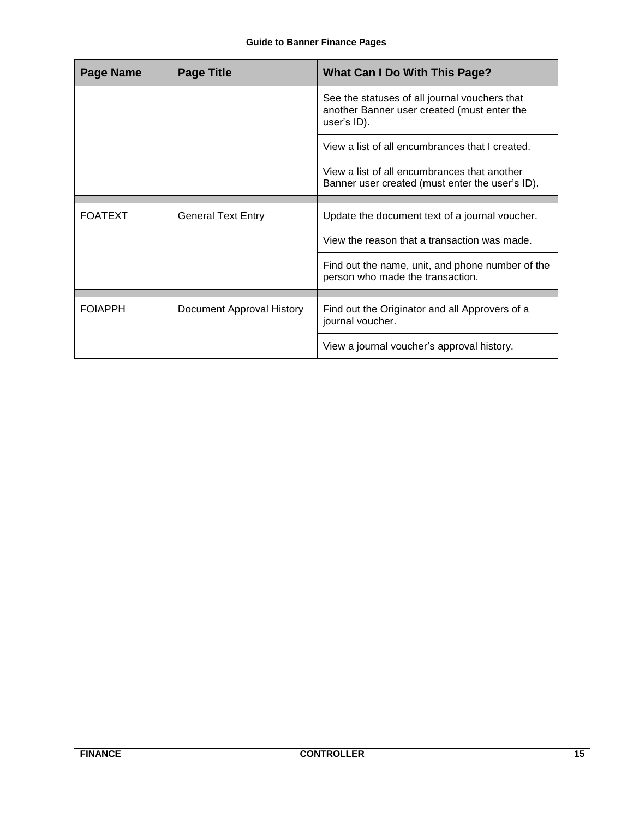| Page Name      | <b>Page Title</b>         | <b>What Can I Do With This Page?</b>                                                                        |
|----------------|---------------------------|-------------------------------------------------------------------------------------------------------------|
|                |                           | See the statuses of all journal vouchers that<br>another Banner user created (must enter the<br>user's ID). |
|                |                           | View a list of all encumbrances that I created.                                                             |
|                |                           | View a list of all encumbrances that another<br>Banner user created (must enter the user's ID).             |
|                |                           |                                                                                                             |
| <b>FOATEXT</b> | <b>General Text Entry</b> | Update the document text of a journal voucher.                                                              |
|                |                           | View the reason that a transaction was made.                                                                |
|                |                           | Find out the name, unit, and phone number of the<br>person who made the transaction.                        |
|                |                           |                                                                                                             |
| <b>FOIAPPH</b> | Document Approval History | Find out the Originator and all Approvers of a<br>journal voucher.                                          |
|                |                           | View a journal voucher's approval history.                                                                  |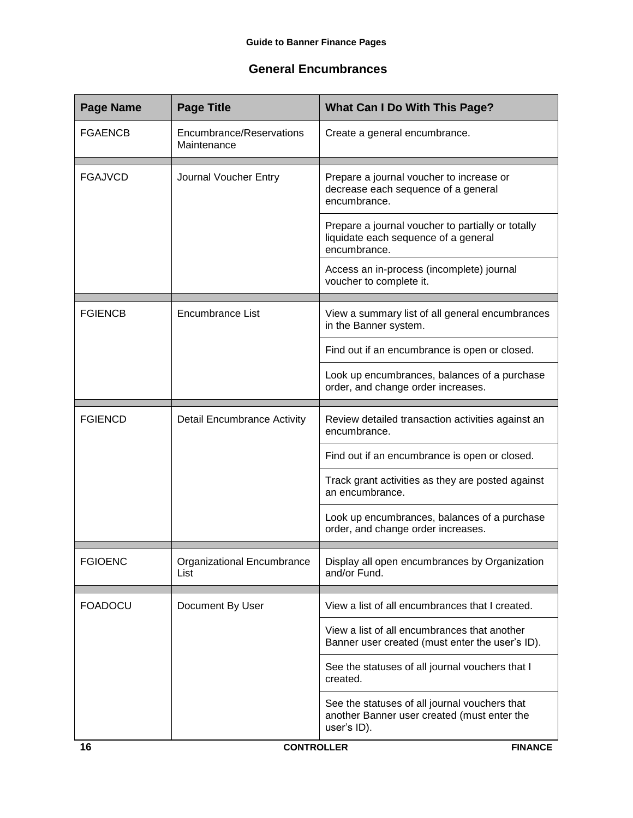#### <span id="page-15-0"></span>**General Encumbrances**

| <b>Page Name</b> | <b>Page Title</b>                       | What Can I Do With This Page?                                                                               |
|------------------|-----------------------------------------|-------------------------------------------------------------------------------------------------------------|
| <b>FGAENCB</b>   | Encumbrance/Reservations<br>Maintenance | Create a general encumbrance.                                                                               |
| <b>FGAJVCD</b>   | Journal Voucher Entry                   | Prepare a journal voucher to increase or<br>decrease each sequence of a general<br>encumbrance.             |
|                  |                                         | Prepare a journal voucher to partially or totally<br>liquidate each sequence of a general<br>encumbrance.   |
|                  |                                         | Access an in-process (incomplete) journal<br>voucher to complete it.                                        |
| <b>FGIENCB</b>   | Encumbrance List                        | View a summary list of all general encumbrances<br>in the Banner system.                                    |
|                  |                                         | Find out if an encumbrance is open or closed.                                                               |
|                  |                                         | Look up encumbrances, balances of a purchase<br>order, and change order increases.                          |
| <b>FGIENCD</b>   | <b>Detail Encumbrance Activity</b>      | Review detailed transaction activities against an<br>encumbrance.                                           |
|                  |                                         | Find out if an encumbrance is open or closed.                                                               |
|                  |                                         | Track grant activities as they are posted against<br>an encumbrance.                                        |
|                  |                                         | Look up encumbrances, balances of a purchase<br>order, and change order increases.                          |
| <b>FGIOENC</b>   | Organizational Encumbrance<br>List      | Display all open encumbrances by Organization<br>and/or Fund.                                               |
| <b>FOADOCU</b>   | Document By User                        | View a list of all encumbrances that I created.                                                             |
|                  |                                         | View a list of all encumbrances that another<br>Banner user created (must enter the user's ID).             |
|                  |                                         | See the statuses of all journal vouchers that I<br>created.                                                 |
|                  |                                         | See the statuses of all journal vouchers that<br>another Banner user created (must enter the<br>user's ID). |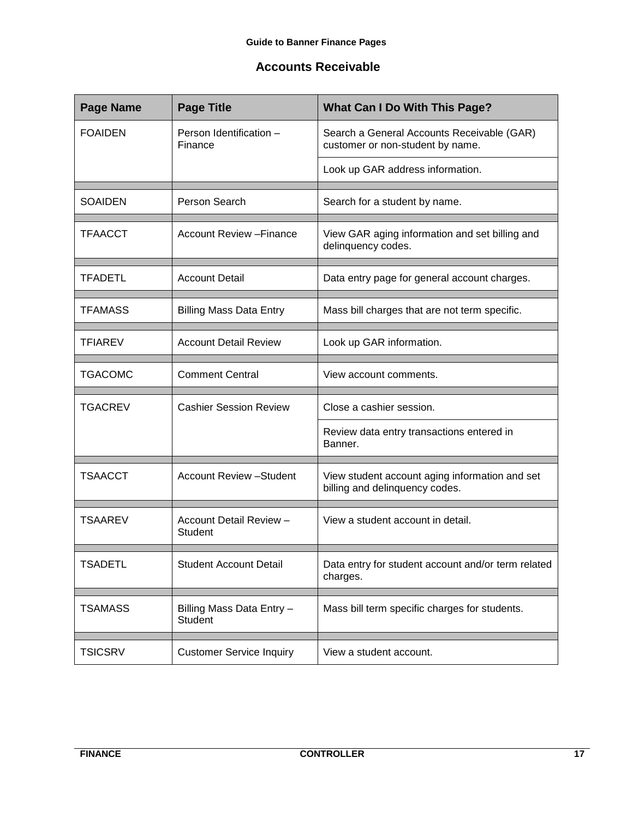## <span id="page-16-0"></span>**Accounts Receivable**

| <b>Page Name</b> | <b>Page Title</b>                           | <b>What Can I Do With This Page?</b>                                             |
|------------------|---------------------------------------------|----------------------------------------------------------------------------------|
| <b>FOAIDEN</b>   | Person Identification -<br>Finance          | Search a General Accounts Receivable (GAR)<br>customer or non-student by name.   |
|                  |                                             | Look up GAR address information.                                                 |
| <b>SOAIDEN</b>   | Person Search                               | Search for a student by name.                                                    |
| <b>TFAACCT</b>   | <b>Account Review - Finance</b>             | View GAR aging information and set billing and<br>delinquency codes.             |
| <b>TFADETL</b>   | <b>Account Detail</b>                       | Data entry page for general account charges.                                     |
| <b>TFAMASS</b>   | <b>Billing Mass Data Entry</b>              | Mass bill charges that are not term specific.                                    |
| TFIAREV          | <b>Account Detail Review</b>                | Look up GAR information.                                                         |
| <b>TGACOMC</b>   | <b>Comment Central</b>                      | View account comments.                                                           |
| <b>TGACREV</b>   | <b>Cashier Session Review</b>               | Close a cashier session.                                                         |
|                  |                                             | Review data entry transactions entered in<br>Banner.                             |
| <b>TSAACCT</b>   | <b>Account Review - Student</b>             | View student account aging information and set<br>billing and delinquency codes. |
| <b>TSAAREV</b>   | Account Detail Review -<br><b>Student</b>   | View a student account in detail.                                                |
| <b>TSADETL</b>   | <b>Student Account Detail</b>               | Data entry for student account and/or term related<br>charges.                   |
| <b>TSAMASS</b>   | Billing Mass Data Entry -<br><b>Student</b> | Mass bill term specific charges for students.                                    |
| <b>TSICSRV</b>   | <b>Customer Service Inquiry</b>             | View a student account.                                                          |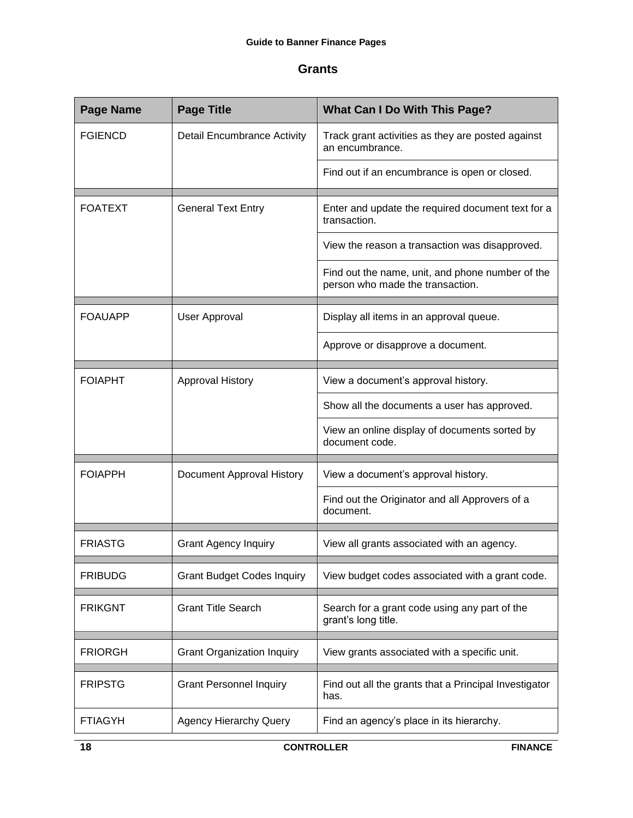#### <span id="page-17-0"></span>**Grants**

| <b>Page Name</b> | <b>Page Title</b>                  | <b>What Can I Do With This Page?</b>                                                 |
|------------------|------------------------------------|--------------------------------------------------------------------------------------|
| <b>FGIENCD</b>   | <b>Detail Encumbrance Activity</b> | Track grant activities as they are posted against<br>an encumbrance.                 |
|                  |                                    | Find out if an encumbrance is open or closed.                                        |
| <b>FOATEXT</b>   | <b>General Text Entry</b>          | Enter and update the required document text for a<br>transaction.                    |
|                  |                                    | View the reason a transaction was disapproved.                                       |
|                  |                                    | Find out the name, unit, and phone number of the<br>person who made the transaction. |
| <b>FOAUAPP</b>   | User Approval                      | Display all items in an approval queue.                                              |
|                  |                                    | Approve or disapprove a document.                                                    |
| <b>FOIAPHT</b>   | Approval History                   | View a document's approval history.                                                  |
|                  |                                    | Show all the documents a user has approved.                                          |
|                  |                                    | View an online display of documents sorted by<br>document code.                      |
| <b>FOIAPPH</b>   | Document Approval History          | View a document's approval history.                                                  |
|                  |                                    | Find out the Originator and all Approvers of a<br>document.                          |
| <b>FRIASTG</b>   | <b>Grant Agency Inquiry</b>        | View all grants associated with an agency.                                           |
| <b>FRIBUDG</b>   | <b>Grant Budget Codes Inquiry</b>  | View budget codes associated with a grant code.                                      |
| <b>FRIKGNT</b>   | <b>Grant Title Search</b>          | Search for a grant code using any part of the<br>grant's long title.                 |
| <b>FRIORGH</b>   | <b>Grant Organization Inquiry</b>  | View grants associated with a specific unit.                                         |
| <b>FRIPSTG</b>   | <b>Grant Personnel Inquiry</b>     | Find out all the grants that a Principal Investigator<br>has.                        |
| <b>FTIAGYH</b>   | <b>Agency Hierarchy Query</b>      | Find an agency's place in its hierarchy.                                             |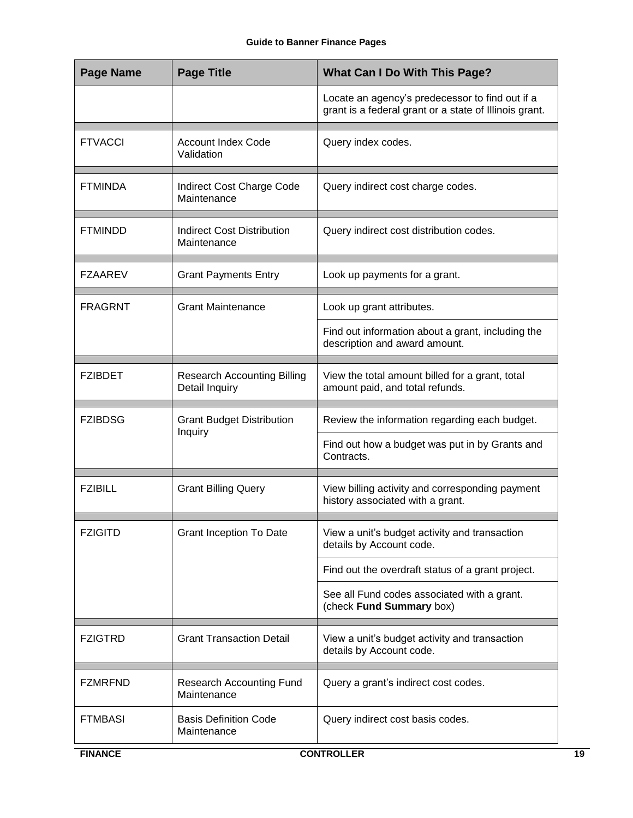| <b>Page Name</b> | <b>Page Title</b>                                    | <b>What Can I Do With This Page?</b>                                                                      |
|------------------|------------------------------------------------------|-----------------------------------------------------------------------------------------------------------|
|                  |                                                      | Locate an agency's predecessor to find out if a<br>grant is a federal grant or a state of Illinois grant. |
| <b>FTVACCI</b>   | <b>Account Index Code</b><br>Validation              | Query index codes.                                                                                        |
| <b>FTMINDA</b>   | Indirect Cost Charge Code<br>Maintenance             | Query indirect cost charge codes.                                                                         |
| <b>FTMINDD</b>   | Indirect Cost Distribution<br>Maintenance            | Query indirect cost distribution codes.                                                                   |
| <b>FZAAREV</b>   | <b>Grant Payments Entry</b>                          | Look up payments for a grant.                                                                             |
| <b>FRAGRNT</b>   | <b>Grant Maintenance</b>                             | Look up grant attributes.                                                                                 |
|                  |                                                      | Find out information about a grant, including the<br>description and award amount.                        |
| <b>FZIBDET</b>   | <b>Research Accounting Billing</b><br>Detail Inquiry | View the total amount billed for a grant, total<br>amount paid, and total refunds.                        |
| <b>FZIBDSG</b>   | <b>Grant Budget Distribution</b><br>Inquiry          | Review the information regarding each budget.                                                             |
|                  |                                                      | Find out how a budget was put in by Grants and<br>Contracts.                                              |
| <b>FZIBILL</b>   | <b>Grant Billing Query</b>                           | View billing activity and corresponding payment<br>history associated with a grant.                       |
| <b>FZIGITD</b>   | <b>Grant Inception To Date</b>                       | View a unit's budget activity and transaction<br>details by Account code.                                 |
|                  |                                                      | Find out the overdraft status of a grant project.                                                         |
|                  |                                                      | See all Fund codes associated with a grant.<br>(check Fund Summary box)                                   |
| <b>FZIGTRD</b>   | <b>Grant Transaction Detail</b>                      | View a unit's budget activity and transaction<br>details by Account code.                                 |
| <b>FZMRFND</b>   | <b>Research Accounting Fund</b><br>Maintenance       | Query a grant's indirect cost codes.                                                                      |
| <b>FTMBASI</b>   | <b>Basis Definition Code</b><br>Maintenance          | Query indirect cost basis codes.                                                                          |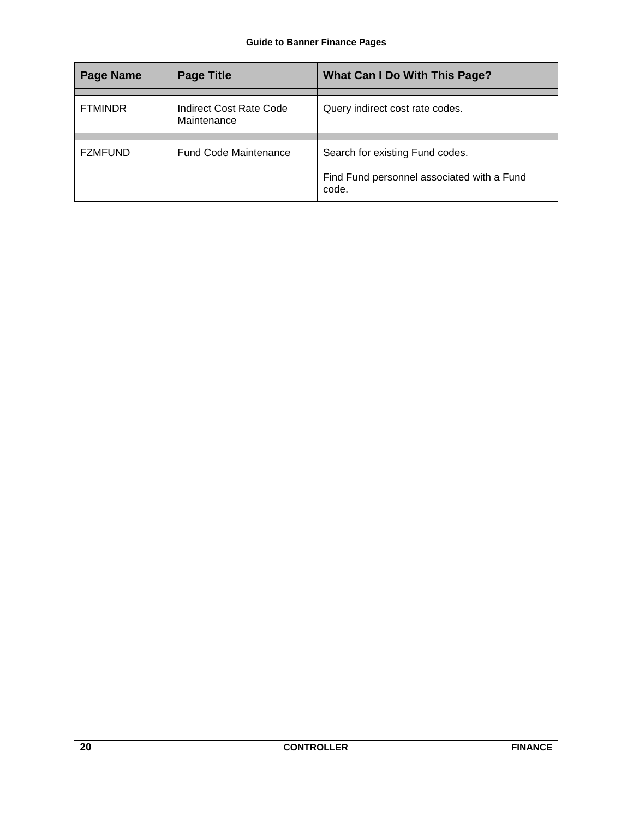| <b>Page Name</b> | <b>Page Title</b>                      | What Can I Do With This Page?                       |
|------------------|----------------------------------------|-----------------------------------------------------|
|                  |                                        |                                                     |
| <b>FTMINDR</b>   | Indirect Cost Rate Code<br>Maintenance | Query indirect cost rate codes.                     |
|                  |                                        |                                                     |
| <b>FZMFUND</b>   | <b>Fund Code Maintenance</b>           | Search for existing Fund codes.                     |
|                  |                                        | Find Fund personnel associated with a Fund<br>code. |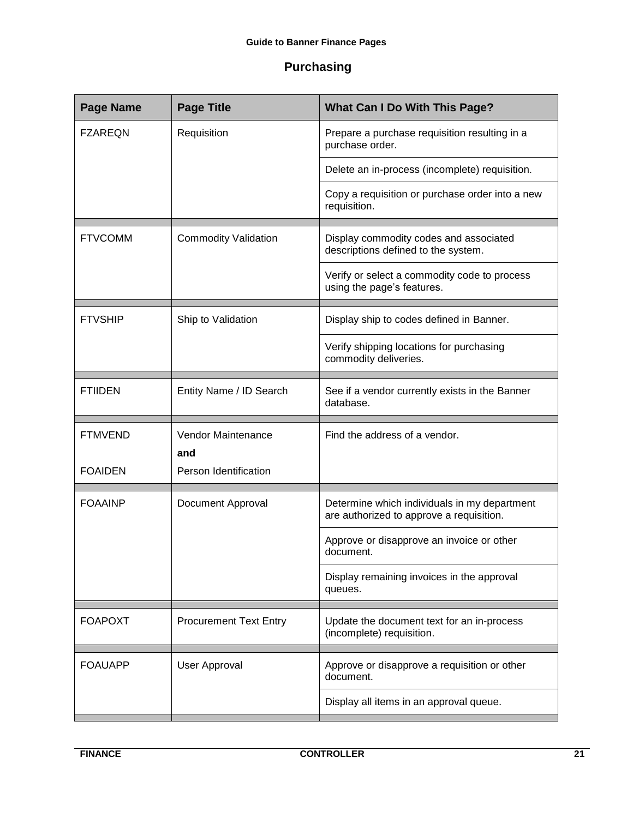## <span id="page-20-0"></span>**Purchasing**

| <b>Page Name</b>              | <b>Page Title</b>                                                | <b>What Can I Do With This Page?</b>                                                     |
|-------------------------------|------------------------------------------------------------------|------------------------------------------------------------------------------------------|
| <b>FZAREQN</b><br>Requisition | Prepare a purchase requisition resulting in a<br>purchase order. |                                                                                          |
|                               |                                                                  | Delete an in-process (incomplete) requisition.                                           |
|                               |                                                                  | Copy a requisition or purchase order into a new<br>requisition.                          |
| <b>FTVCOMM</b>                | <b>Commodity Validation</b>                                      | Display commodity codes and associated<br>descriptions defined to the system.            |
|                               |                                                                  | Verify or select a commodity code to process<br>using the page's features.               |
| <b>FTVSHIP</b>                | Ship to Validation                                               | Display ship to codes defined in Banner.                                                 |
|                               |                                                                  | Verify shipping locations for purchasing<br>commodity deliveries.                        |
| <b>FTIIDEN</b>                | Entity Name / ID Search                                          | See if a vendor currently exists in the Banner<br>database.                              |
| <b>FTMVEND</b>                | <b>Vendor Maintenance</b><br>and                                 | Find the address of a vendor.                                                            |
| <b>FOAIDEN</b>                | Person Identification                                            |                                                                                          |
| <b>FOAAINP</b>                | <b>Document Approval</b>                                         | Determine which individuals in my department<br>are authorized to approve a requisition. |
|                               |                                                                  | Approve or disapprove an invoice or other<br>document.                                   |
|                               |                                                                  | Display remaining invoices in the approval<br>queues.                                    |
| <b>FOAPOXT</b>                | <b>Procurement Text Entry</b>                                    | Update the document text for an in-process                                               |
|                               |                                                                  | (incomplete) requisition.                                                                |
| <b>FOAUAPP</b>                | <b>User Approval</b>                                             | Approve or disapprove a requisition or other<br>document.                                |
|                               |                                                                  | Display all items in an approval queue.                                                  |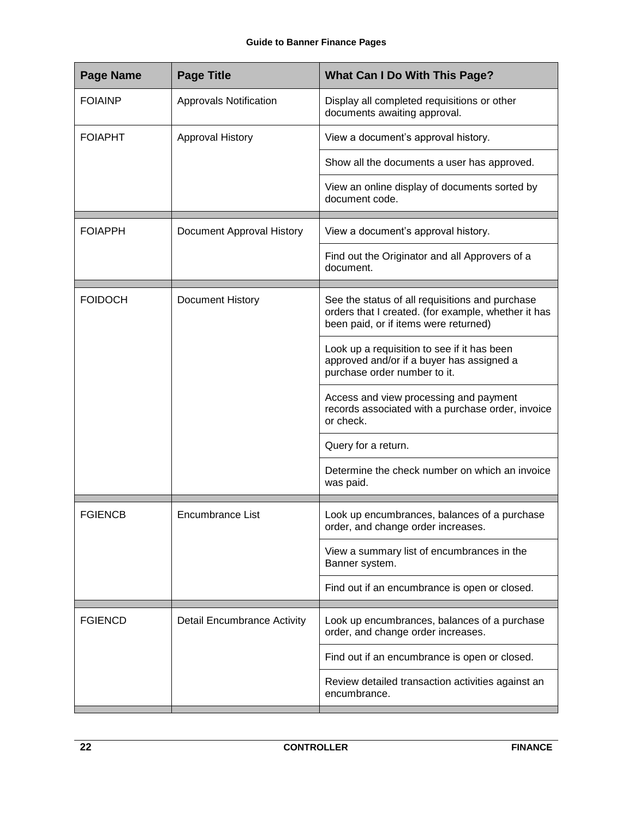| <b>Page Title</b>                  | <b>What Can I Do With This Page?</b>                                                                                                            |
|------------------------------------|-------------------------------------------------------------------------------------------------------------------------------------------------|
| <b>Approvals Notification</b>      | Display all completed requisitions or other<br>documents awaiting approval.                                                                     |
| Approval History                   | View a document's approval history.                                                                                                             |
|                                    | Show all the documents a user has approved.                                                                                                     |
|                                    | View an online display of documents sorted by<br>document code.                                                                                 |
| Document Approval History          | View a document's approval history.                                                                                                             |
|                                    | Find out the Originator and all Approvers of a<br>document.                                                                                     |
| Document History                   | See the status of all requisitions and purchase<br>orders that I created. (for example, whether it has<br>been paid, or if items were returned) |
|                                    | Look up a requisition to see if it has been<br>approved and/or if a buyer has assigned a<br>purchase order number to it.                        |
|                                    | Access and view processing and payment<br>records associated with a purchase order, invoice<br>or check.                                        |
|                                    | Query for a return.                                                                                                                             |
|                                    | Determine the check number on which an invoice<br>was paid.                                                                                     |
| <b>Encumbrance List</b>            | Look up encumbrances, balances of a purchase<br>order, and change order increases.                                                              |
|                                    | View a summary list of encumbrances in the<br>Banner system.                                                                                    |
|                                    | Find out if an encumbrance is open or closed.                                                                                                   |
| <b>Detail Encumbrance Activity</b> | Look up encumbrances, balances of a purchase<br>order, and change order increases.                                                              |
|                                    | Find out if an encumbrance is open or closed.                                                                                                   |
|                                    | Review detailed transaction activities against an<br>encumbrance.                                                                               |
|                                    |                                                                                                                                                 |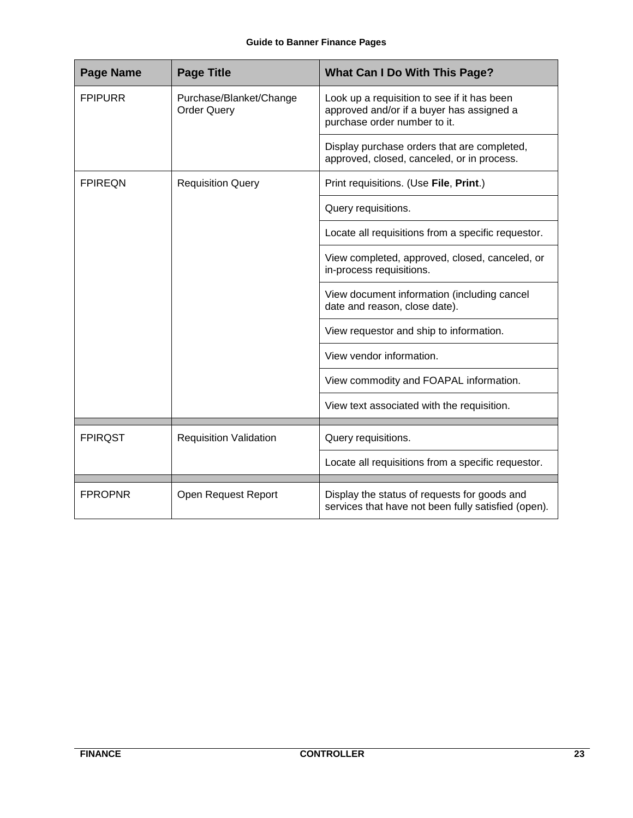| <b>Page Name</b> | <b>Page Title</b>                             | <b>What Can I Do With This Page?</b>                                                                                     |
|------------------|-----------------------------------------------|--------------------------------------------------------------------------------------------------------------------------|
| <b>FPIPURR</b>   | Purchase/Blanket/Change<br><b>Order Query</b> | Look up a requisition to see if it has been<br>approved and/or if a buyer has assigned a<br>purchase order number to it. |
|                  |                                               | Display purchase orders that are completed,<br>approved, closed, canceled, or in process.                                |
| <b>FPIREQN</b>   | <b>Requisition Query</b>                      | Print requisitions. (Use File, Print.)                                                                                   |
|                  |                                               | Query requisitions.                                                                                                      |
|                  |                                               | Locate all requisitions from a specific requestor.                                                                       |
|                  |                                               | View completed, approved, closed, canceled, or<br>in-process requisitions.                                               |
|                  |                                               | View document information (including cancel<br>date and reason, close date).                                             |
|                  |                                               | View requestor and ship to information.                                                                                  |
|                  |                                               | View vendor information.                                                                                                 |
|                  |                                               | View commodity and FOAPAL information.                                                                                   |
|                  |                                               | View text associated with the requisition.                                                                               |
| <b>FPIRQST</b>   | <b>Requisition Validation</b>                 | Query requisitions.                                                                                                      |
|                  |                                               | Locate all requisitions from a specific requestor.                                                                       |
| <b>FPROPNR</b>   | Open Request Report                           | Display the status of requests for goods and<br>services that have not been fully satisfied (open).                      |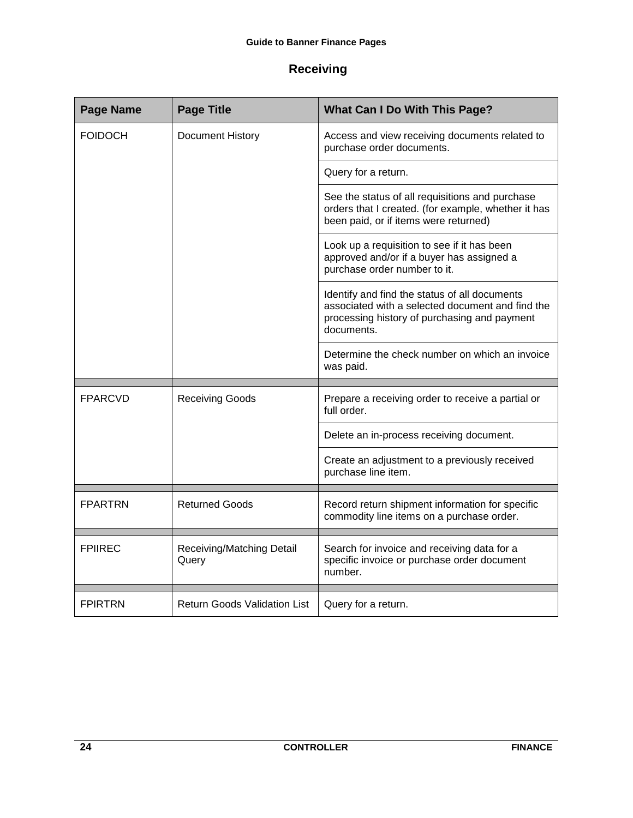## <span id="page-23-0"></span>**Receiving**

| <b>Page Name</b> | <b>Page Title</b>                   | <b>What Can I Do With This Page?</b>                                                                                                                            |
|------------------|-------------------------------------|-----------------------------------------------------------------------------------------------------------------------------------------------------------------|
| <b>FOIDOCH</b>   | Document History                    | Access and view receiving documents related to<br>purchase order documents.                                                                                     |
|                  |                                     | Query for a return.                                                                                                                                             |
|                  |                                     | See the status of all requisitions and purchase<br>orders that I created. (for example, whether it has<br>been paid, or if items were returned)                 |
|                  |                                     | Look up a requisition to see if it has been<br>approved and/or if a buyer has assigned a<br>purchase order number to it.                                        |
|                  |                                     | Identify and find the status of all documents<br>associated with a selected document and find the<br>processing history of purchasing and payment<br>documents. |
|                  |                                     | Determine the check number on which an invoice<br>was paid.                                                                                                     |
|                  |                                     |                                                                                                                                                                 |
| <b>FPARCVD</b>   | <b>Receiving Goods</b>              | Prepare a receiving order to receive a partial or<br>full order.                                                                                                |
|                  |                                     | Delete an in-process receiving document.                                                                                                                        |
|                  |                                     | Create an adjustment to a previously received<br>purchase line item.                                                                                            |
|                  |                                     |                                                                                                                                                                 |
| <b>FPARTRN</b>   | <b>Returned Goods</b>               | Record return shipment information for specific<br>commodity line items on a purchase order.                                                                    |
|                  |                                     |                                                                                                                                                                 |
| <b>FPIIREC</b>   | Receiving/Matching Detail<br>Query  | Search for invoice and receiving data for a<br>specific invoice or purchase order document<br>number.                                                           |
|                  |                                     |                                                                                                                                                                 |
| <b>FPIRTRN</b>   | <b>Return Goods Validation List</b> | Query for a return.                                                                                                                                             |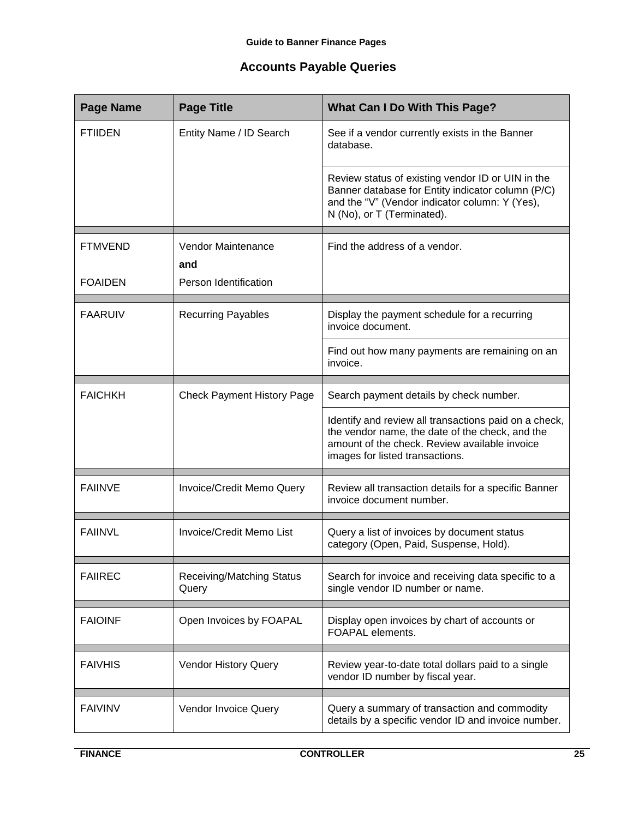## <span id="page-24-0"></span>**Accounts Payable Queries**

| <b>Page Name</b>                 | <b>Page Title</b>                                  | <b>What Can I Do With This Page?</b>                                                                                                                                                         |
|----------------------------------|----------------------------------------------------|----------------------------------------------------------------------------------------------------------------------------------------------------------------------------------------------|
| <b>FTIIDEN</b>                   | Entity Name / ID Search                            | See if a vendor currently exists in the Banner<br>database.                                                                                                                                  |
|                                  |                                                    | Review status of existing vendor ID or UIN in the<br>Banner database for Entity indicator column (P/C)<br>and the "V" (Vendor indicator column: Y (Yes),<br>N (No), or T (Terminated).       |
| <b>FTMVEND</b><br><b>FOAIDEN</b> | Vendor Maintenance<br>and<br>Person Identification | Find the address of a vendor.                                                                                                                                                                |
| <b>FAARUIV</b>                   | <b>Recurring Payables</b>                          | Display the payment schedule for a recurring<br>invoice document.                                                                                                                            |
|                                  |                                                    | Find out how many payments are remaining on an<br>invoice.                                                                                                                                   |
| <b>FAICHKH</b>                   | <b>Check Payment History Page</b>                  | Search payment details by check number.                                                                                                                                                      |
|                                  |                                                    | Identify and review all transactions paid on a check,<br>the vendor name, the date of the check, and the<br>amount of the check. Review available invoice<br>images for listed transactions. |
| <b>FAIINVE</b>                   | Invoice/Credit Memo Query                          | Review all transaction details for a specific Banner<br>invoice document number.                                                                                                             |
| <b>FAIINVL</b>                   | Invoice/Credit Memo List                           | Query a list of invoices by document status<br>category (Open, Paid, Suspense, Hold).                                                                                                        |
| <b>FAIIREC</b>                   | <b>Receiving/Matching Status</b><br>Query          | Search for invoice and receiving data specific to a<br>single vendor ID number or name.                                                                                                      |
| <b>FAIOINF</b>                   | Open Invoices by FOAPAL                            | Display open invoices by chart of accounts or<br>FOAPAL elements.                                                                                                                            |
| <b>FAIVHIS</b>                   | <b>Vendor History Query</b>                        | Review year-to-date total dollars paid to a single<br>vendor ID number by fiscal year.                                                                                                       |
| <b>FAIVINV</b>                   | Vendor Invoice Query                               | Query a summary of transaction and commodity<br>details by a specific vendor ID and invoice number.                                                                                          |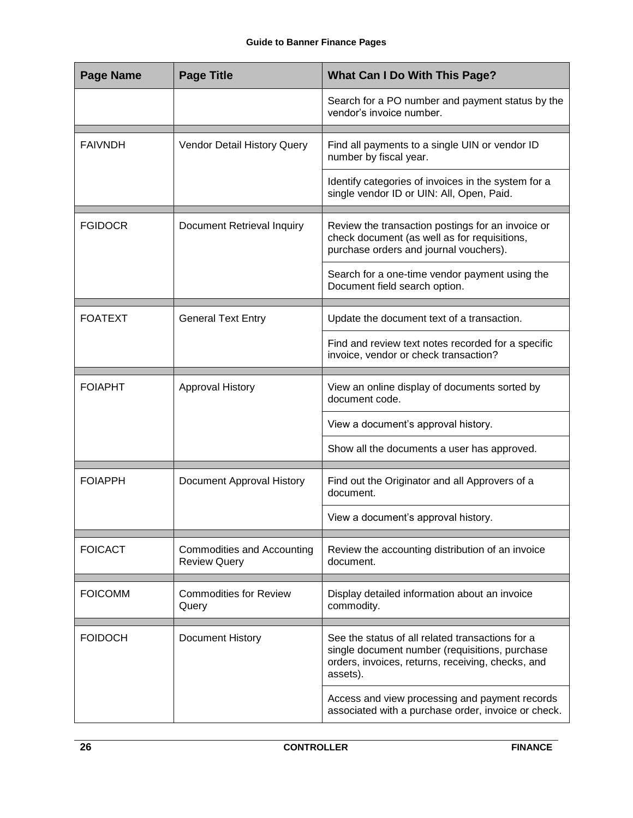| <b>Page Name</b> | <b>Page Title</b>                                        | What Can I Do With This Page?                                                                                                                                       |
|------------------|----------------------------------------------------------|---------------------------------------------------------------------------------------------------------------------------------------------------------------------|
|                  |                                                          | Search for a PO number and payment status by the<br>vendor's invoice number.                                                                                        |
| <b>FAIVNDH</b>   | Vendor Detail History Query                              | Find all payments to a single UIN or vendor ID<br>number by fiscal year.                                                                                            |
|                  |                                                          | Identify categories of invoices in the system for a<br>single vendor ID or UIN: All, Open, Paid.                                                                    |
| <b>FGIDOCR</b>   | Document Retrieval Inquiry                               | Review the transaction postings for an invoice or<br>check document (as well as for requisitions,<br>purchase orders and journal vouchers).                         |
|                  |                                                          | Search for a one-time vendor payment using the<br>Document field search option.                                                                                     |
| <b>FOATEXT</b>   | <b>General Text Entry</b>                                | Update the document text of a transaction.                                                                                                                          |
|                  |                                                          | Find and review text notes recorded for a specific<br>invoice, vendor or check transaction?                                                                         |
| <b>FOIAPHT</b>   | <b>Approval History</b>                                  | View an online display of documents sorted by<br>document code.                                                                                                     |
|                  |                                                          | View a document's approval history.                                                                                                                                 |
|                  |                                                          | Show all the documents a user has approved.                                                                                                                         |
| <b>FOIAPPH</b>   | Document Approval History                                | Find out the Originator and all Approvers of a<br>document.                                                                                                         |
|                  |                                                          | View a document's approval history.                                                                                                                                 |
| <b>FOICACT</b>   | <b>Commodities and Accounting</b><br><b>Review Query</b> | Review the accounting distribution of an invoice<br>document.                                                                                                       |
| <b>FOICOMM</b>   | <b>Commodities for Review</b><br>Query                   | Display detailed information about an invoice<br>commodity.                                                                                                         |
| <b>FOIDOCH</b>   | Document History                                         | See the status of all related transactions for a<br>single document number (requisitions, purchase<br>orders, invoices, returns, receiving, checks, and<br>assets). |
|                  |                                                          | Access and view processing and payment records<br>associated with a purchase order, invoice or check.                                                               |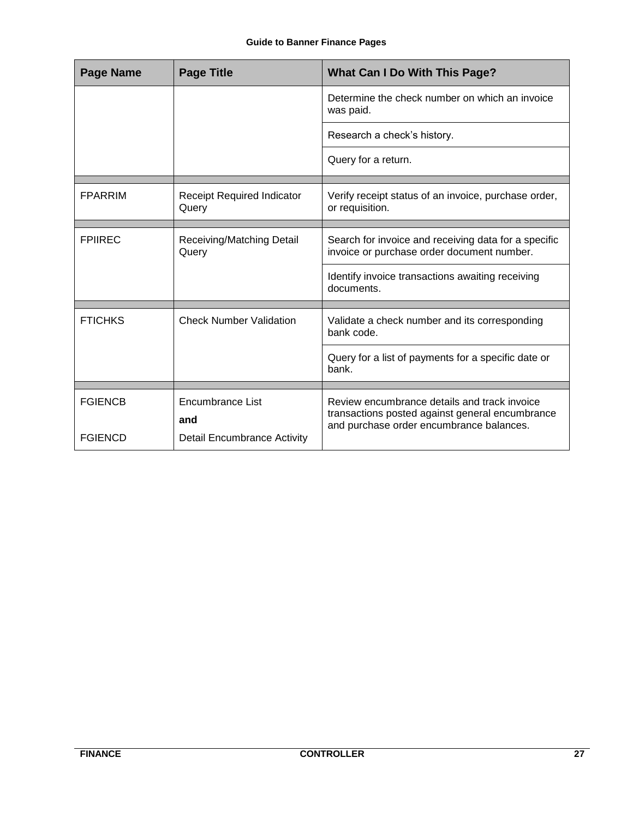| <b>Page Name</b> | <b>Page Title</b>                          | <b>What Can I Do With This Page?</b>                                                               |
|------------------|--------------------------------------------|----------------------------------------------------------------------------------------------------|
|                  |                                            | Determine the check number on which an invoice<br>was paid.                                        |
|                  |                                            | Research a check's history.                                                                        |
|                  |                                            | Query for a return.                                                                                |
| <b>FPARRIM</b>   | <b>Receipt Required Indicator</b><br>Query | Verify receipt status of an invoice, purchase order,<br>or requisition.                            |
| <b>FPIIREC</b>   | Receiving/Matching Detail<br>Query         | Search for invoice and receiving data for a specific<br>invoice or purchase order document number. |
|                  |                                            | Identify invoice transactions awaiting receiving<br>documents.                                     |
| <b>FTICHKS</b>   | <b>Check Number Validation</b>             | Validate a check number and its corresponding<br>bank code.                                        |
|                  |                                            | Query for a list of payments for a specific date or<br>bank.                                       |
| <b>FGIENCB</b>   | Encumbrance List                           | Review encumbrance details and track invoice                                                       |
|                  |                                            | transactions posted against general encumbrance<br>and purchase order encumbrance balances.        |
|                  | and                                        |                                                                                                    |
| <b>FGIENCD</b>   | <b>Detail Encumbrance Activity</b>         |                                                                                                    |